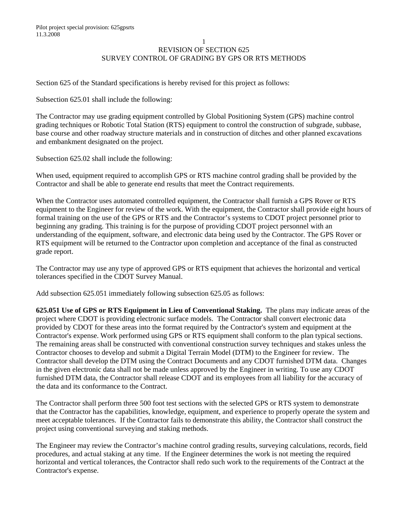## 1 REVISION OF SECTION 625 SURVEY CONTROL OF GRADING BY GPS OR RTS METHODS

Section 625 of the Standard specifications is hereby revised for this project as follows:

Subsection 625.01 shall include the following:

The Contractor may use grading equipment controlled by Global Positioning System (GPS) machine control grading techniques or Robotic Total Station (RTS) equipment to control the construction of subgrade, subbase, base course and other roadway structure materials and in construction of ditches and other planned excavations and embankment designated on the project.

Subsection 625.02 shall include the following:

When used, equipment required to accomplish GPS or RTS machine control grading shall be provided by the Contractor and shall be able to generate end results that meet the Contract requirements.

When the Contractor uses automated controlled equipment, the Contractor shall furnish a GPS Rover or RTS equipment to the Engineer for review of the work. With the equipment, the Contractor shall provide eight hours of formal training on the use of the GPS or RTS and the Contractor's systems to CDOT project personnel prior to beginning any grading. This training is for the purpose of providing CDOT project personnel with an understanding of the equipment, software, and electronic data being used by the Contractor. The GPS Rover or RTS equipment will be returned to the Contractor upon completion and acceptance of the final as constructed grade report.

The Contractor may use any type of approved GPS or RTS equipment that achieves the horizontal and vertical tolerances specified in the CDOT Survey Manual.

Add subsection 625.051 immediately following subsection 625.05 as follows:

**625.051 Use of GPS or RTS Equipment in Lieu of Conventional Staking.** The plans may indicate areas of the project where CDOT is providing electronic surface models. The Contractor shall convert electronic data provided by CDOT for these areas into the format required by the Contractor's system and equipment at the Contractor's expense. Work performed using GPS or RTS equipment shall conform to the plan typical sections. The remaining areas shall be constructed with conventional construction survey techniques and stakes unless the Contractor chooses to develop and submit a Digital Terrain Model (DTM) to the Engineer for review. The Contractor shall develop the DTM using the Contract Documents and any CDOT furnished DTM data. Changes in the given electronic data shall not be made unless approved by the Engineer in writing. To use any CDOT furnished DTM data, the Contractor shall release CDOT and its employees from all liability for the accuracy of the data and its conformance to the Contract.

The Contractor shall perform three 500 foot test sections with the selected GPS or RTS system to demonstrate that the Contractor has the capabilities, knowledge, equipment, and experience to properly operate the system and meet acceptable tolerances. If the Contractor fails to demonstrate this ability, the Contractor shall construct the project using conventional surveying and staking methods.

The Engineer may review the Contractor's machine control grading results, surveying calculations, records, field procedures, and actual staking at any time. If the Engineer determines the work is not meeting the required horizontal and vertical tolerances, the Contractor shall redo such work to the requirements of the Contract at the Contractor's expense.